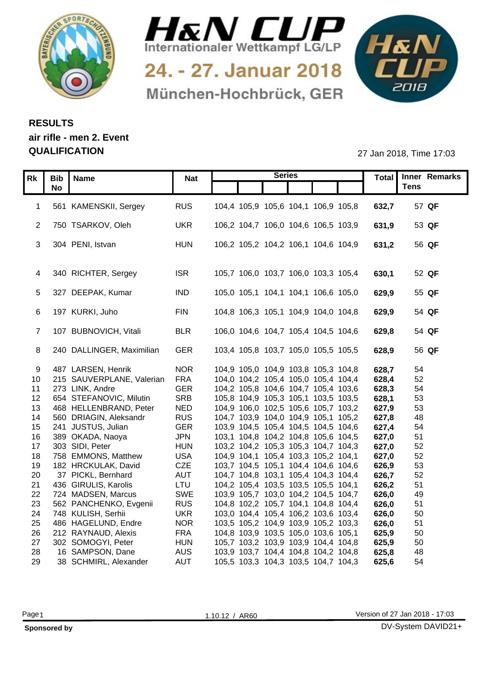



24. - 27. Januar 2018 München-Hochbrück, GER



## **RESULTS air rifle - men 2. Event**

**QUALIFICATION** 27 Jan 2018, Time 17:03

|                       | Rk   Bib   Name                            | <b>Nat</b> |                                                                            | <b>Series</b> |  |                | Total Inner Remarks |
|-----------------------|--------------------------------------------|------------|----------------------------------------------------------------------------|---------------|--|----------------|---------------------|
|                       | <b>No</b>                                  |            |                                                                            |               |  |                | <b>Tens</b>         |
|                       |                                            |            |                                                                            |               |  |                |                     |
|                       | 561 KAMENSKII, Sergey                      | <b>RUS</b> | 104,4 105,9 105,6 104,1 106,9 105,8                                        |               |  | 632,7          | 57 QF               |
|                       |                                            |            |                                                                            |               |  |                |                     |
|                       | 2 750 TSARKOV, Oleh                        | <b>UKR</b> | 106,2 104,7 106,0 104,6 106,5 103,9                                        |               |  | 631,9          | 53 QF               |
|                       | 3 304 PENI, Istvan                         | <b>HUN</b> | 106,2 105,2 104,2 106,1 104,6 104,9                                        |               |  | 631,2          | 56 QF               |
|                       |                                            |            |                                                                            |               |  |                |                     |
|                       |                                            |            |                                                                            |               |  |                |                     |
|                       | 4 340 RICHTER, Sergey                      | <b>ISR</b> | 105,7 106,0 103,7 106,0 103,3 105,4                                        |               |  | 630,1          | 52 QF               |
|                       |                                            |            |                                                                            |               |  |                |                     |
|                       | 5 327 DEEPAK, Kumar                        | <b>IND</b> | 105,0 105,1 104,1 104,1 106,6 105,0                                        |               |  | 629,9          | 55 QF               |
|                       |                                            |            |                                                                            |               |  |                |                     |
|                       | 6 197 KURKI, Juho                          | <b>FIN</b> | 104,8 106,3 105,1 104,9 104,0 104,8                                        |               |  | 629,9          | 54 QF               |
|                       |                                            |            |                                                                            |               |  |                |                     |
|                       | 107 BUBNOVICH, Vitali                      | <b>BLR</b> | 106,0 104,6 104,7 105,4 104,5 104,6                                        |               |  | 629,8          | 54 QF               |
|                       |                                            |            |                                                                            |               |  |                |                     |
|                       | 8 240 DALLINGER, Maximilian                | GER        | 103,4 105,8 103,7 105,0 105,5 105,5                                        |               |  | 628,9          | 56 QF               |
|                       |                                            |            |                                                                            |               |  |                |                     |
| 9                     | 487 LARSEN, Henrik                         | <b>NOR</b> | 104,9 105,0 104,9 103,8 105,3 104,8                                        |               |  | 628,7          | 54                  |
| 10 <sup>1</sup>       | 215 SAUVERPLANE, Valerian                  | <b>FRA</b> | 104,0 104,2 105,4 105,0 105,4 104,4                                        |               |  | 628,4          | 52                  |
| 11                    | 273 LINK, Andre<br>654 STEFANOVIC, Milutin | GER<br>SRB | 104,2 105,8 104,6 104,7 105,4 103,6                                        |               |  | 628,3          | 54                  |
| 12 <sub>2</sub><br>13 | 468 HELLENBRAND, Peter                     | <b>NED</b> | 105,8 104,9 105,3 105,1 103,5 103,5                                        |               |  | 628,1<br>627,9 | 53<br>53            |
| 14                    | 560 DRIAGIN, Aleksandr                     | <b>RUS</b> | 104,9 106,0 102,5 105,6 105,7 103,2<br>104,7 103,9 104,0 104,9 105,1 105,2 |               |  | 627,8          | 48                  |
| 15                    | 241 JUSTUS, Julian                         | GER        | 103,9 104,5 105,4 104,5 104,5 104,6                                        |               |  | 627,4          | 54                  |
| 16 <sup>1</sup>       | 389 OKADA, Naoya                           | <b>JPN</b> | 103,1 104,8 104,2 104,8 105,6 104,5                                        |               |  | 627,0          | 51                  |
| 17 <sub>1</sub>       | 303 SIDI, Peter                            | <b>HUN</b> | 103,2 104,2 105,3 105,3 104,7 104,3                                        |               |  | 627,0          | 52                  |
| 18                    | 758 EMMONS, Matthew                        | <b>USA</b> | 104,9 104,1 105,4 103,3 105,2 104,1                                        |               |  | 627,0          | 52                  |
| 19                    | 182 HRCKULAK, David                        | <b>CZE</b> | 103,7 104,5 105,1 104,4 104,6 104,6                                        |               |  | 626,9          | 53                  |
| 20                    | 37 PICKL, Bernhard                         | <b>AUT</b> | 104,7 104,8 103,1 105,4 104,3 104,4                                        |               |  | 626,7          | 52                  |
| 21                    | 436 GIRULIS, Karolis                       | LTU        | 104,2 105,4 103,5 103,5 105,5 104,1                                        |               |  | 626,2          | 51                  |
| 22                    | 724 MADSEN, Marcus                         | SWE        | 103,9 105,7 103,0 104,2 104,5 104,7                                        |               |  | 626,0          | 49                  |
| 23                    | 562 PANCHENKO, Evgenii                     | <b>RUS</b> | 104,8 102,2 105,7 104,1 104,8 104,4                                        |               |  | 626,0          | 51                  |
| 24                    | 748 KULISH, Serhii                         | <b>UKR</b> | 103,0 104,4 105,4 106,2 103,6 103,4                                        |               |  | 626,0          | 50                  |
| 25                    | 486 HAGELUND, Endre                        | <b>NOR</b> | 103,5 105,2 104,9 103,9 105,2 103,3                                        |               |  | 626,0          | 51                  |
| 26                    | 212 RAYNAUD, Alexis                        | <b>FRA</b> | 104,8 103,9 103,5 105,0 103,6 105,1                                        |               |  | 625,9          | 50                  |
| 27                    | 302 SOMOGYI, Peter                         | <b>HUN</b> | 105,7 103,2 103,9 103,9 104,4 104,8                                        |               |  | 625,9          | 50                  |
| 28                    | 16 SAMPSON, Dane                           | AUS        | 103,9 103,7 104,4 104,8 104,2 104,8                                        |               |  | 625,8          | 48                  |
| 29                    | 38 SCHMIRL, Alexander                      | <b>AUT</b> | 105,5 103,3 104,3 103,5 104,7 104,3                                        |               |  | 625,6          | 54                  |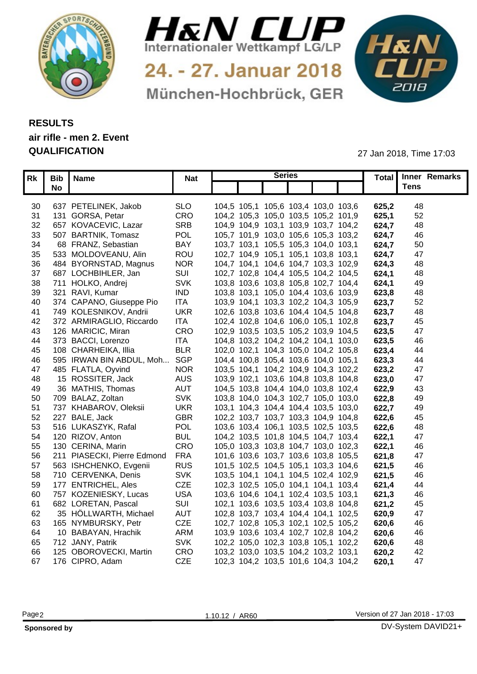



24. - 27. Januar 2018 München-Hochbrück, GER



## **RESULTS air rifle - men 2. Event QUALIFICATION** 27 Jan 2018, Time 17:03

|    | Rk   Bib   Name |                                    |            |                                     | <b>Series</b> |       | Total Inner Remarks |
|----|-----------------|------------------------------------|------------|-------------------------------------|---------------|-------|---------------------|
|    | <b>No</b>       |                                    | <b>Nat</b> |                                     |               |       | <b>Tens</b>         |
|    |                 |                                    |            |                                     |               |       |                     |
|    |                 | 30 637 PETELINEK, Jakob            | <b>SLO</b> | 104,5 105,1 105,6 103,4 103,0 103,6 |               | 625,2 | -48                 |
| 31 |                 | 131 GORSA, Petar                   | CRO        | 104,2 105,3 105,0 103,5 105,2 101,9 |               | 625,1 | 52                  |
| 32 |                 | 657 KOVACEVIC, Lazar               | <b>SRB</b> | 104,9 104,9 103,1 103,9 103,7 104,2 |               | 624,7 | 48                  |
| 33 |                 | 507 BARTNIK, Tomasz                | POL        | 105,7 101,9 103,0 105,6 105,3 103,2 |               | 624,7 | 46                  |
| 34 |                 | 68 FRANZ, Sebastian                | <b>BAY</b> | 103,7 103,1 105,5 105,3 104,0 103,1 |               | 624,7 | 50                  |
| 35 |                 | 533 MOLDOVEANU, Alin               | <b>ROL</b> | 102,7 104,9 105,1 105,1 103,8 103,1 |               | 624,7 | 47                  |
| 36 |                 | 484 BYORNSTAD, Magnus              | <b>NOR</b> | 104,7 104,1 104,6 104,7 103,3 102,9 |               | 624,3 | 48                  |
| 37 |                 | 687 LOCHBIHLER, Jan                | SUI        | 102,7 102,8 104,4 105,5 104,2 104,5 |               | 624,  | 48                  |
|    |                 | 38 711 HOLKO, Andrej               | <b>SVK</b> | 103,8 103,6 103,8 105,8 102,7 104,4 |               | 624,  | 49                  |
|    |                 | 39 321 RAVI, Kumar                 | <b>IND</b> | 103,8 103,1 105,0 104,4 103,6 103,9 |               | 623,8 | 48                  |
|    |                 | 374 CAPANO, Giuseppe Pio           | <b>ITA</b> | 103,9 104,1 103,3 102,2 104,3 105,9 |               | 623,7 | 52                  |
| 40 |                 |                                    |            |                                     |               |       |                     |
| 41 |                 | 749 KOLESNIKOV, Andrii             | <b>UKR</b> | 102,6 103,8 103,6 104,4 104,5 104,8 |               | 623,7 | 48                  |
| 42 |                 | 372 ARMIRAGLIO, Riccardo           | <b>ITA</b> | 102,4 102,8 104,6 106,0 105,1 102,8 |               | 623,7 | 45                  |
|    |                 | 43 126 MARICIC, Miran              | CRO        | 102,9 103,5 103,5 105,2 103,9 104,5 |               | 623,5 | 47                  |
|    |                 | 44 373 BACCI, Lorenzo              | <b>ITA</b> | 104,8 103,2 104,2 104,2 104,1 103,0 |               | 623,5 | 46                  |
| 45 |                 | 108 CHARHEIKA, Illia               | <b>BLR</b> | 102,0 102,1 104,3 105,0 104,2 105,8 |               | 623,4 | 44                  |
| 46 |                 | 595 IRWAN BIN ABDUL, Moh SGP       |            | 104,4 100,8 105,4 103,6 104,0 105,1 |               | 623,3 | 44                  |
| 47 |                 | 485 FLATLA, Oyvind                 | <b>NOR</b> | 103,5 104,1 104,2 104,9 104,3 102,2 |               | 623,2 | 47                  |
| 48 |                 | 15 ROSSITER, Jack                  | <b>AUS</b> | 103,9 102,1 103,6 104,8 103,8 104,8 |               | 623,0 | 47                  |
| 49 |                 | 36 MATHIS, Thomas                  | <b>AUT</b> | 104,5 103,8 104,4 104,0 103,8 102,4 |               | 622,9 | 43                  |
|    |                 | 50 709 BALAZ, Zoltan               | <b>SVK</b> | 103,8 104,0 104,3 102,7 105,0 103,0 |               | 622,8 | 49                  |
|    |                 | 51 737 KHABAROV, Oleksii           | <b>UKR</b> | 103,1 104,3 104,4 104,4 103,5 103,0 |               | 622,7 | 49                  |
| 52 |                 | 227 BALE, Jack                     | <b>GBR</b> | 102,2 103,7 103,7 103,3 104,9 104,8 |               | 622,6 | 45                  |
|    |                 | 53 516 LUKASZYK, Rafal             | POL        | 103,6 103,4 106,1 103,5 102,5 103,5 |               | 622,6 | 48                  |
|    |                 | 54 120 RIZOV, Anton                | <b>BUL</b> | 104,2 103,5 101,8 104,5 104,7 103,4 |               | 622,1 | 47                  |
|    |                 | 55 130 CERINA, Marin               | CRC        | 105,0 103,3 103,8 104,7 103,0 102,3 |               | 622,1 | 46                  |
|    |                 | 56 211 PIASECKI, Pierre Edmond FRA |            | 101,6 103,6 103,7 103,6 103,8 105,5 |               | 621,8 | 47                  |
| 57 |                 | 563 ISHCHENKO, Evgenii             | <b>RUS</b> | 101,5 102,5 104,5 105,1 103,3 104,6 |               | 621.5 | 46                  |
|    |                 | 58 710 CERVENKA, Denis             | <b>SVK</b> | 103,5 104,1 104,1 104,5 102,4 102,9 |               | 621,5 | 46                  |
|    |                 | 59 177 ENTRICHEL, Ales             | <b>CZE</b> | 102,3 102,5 105,0 104,1 104,1 103,4 |               | 621,4 | 44                  |
|    |                 | 60 757 KOZENIESKY, Lucas           | <b>USA</b> | 103,6 104,6 104,1 102,4 103,5 103,1 |               | 621,3 | 46                  |
| 61 |                 | 682 LORETAN, Pascal                | SUI        | 102,1 103,6 103,5 103,4 103,8 104,8 |               | 621,2 | -45                 |
| 62 |                 | 35 HÖLLWARTH, Michae               | <b>AUT</b> | 102,8 103,7 103,4 104,4 104,1 102,5 |               | 620,9 | 47                  |
|    |                 | 165 NYMBURSKY, Petr                | <b>CZE</b> | 102,7 102,8 105,3 102,1 102,5 105,2 |               | 620,6 | 46                  |
| 63 |                 | 10 BABAYAN, Hrachik                | <b>ARM</b> | 103,9 103,6 103,4 102,7 102,8 104,2 |               |       |                     |
| 64 |                 | 65 712 JANY, Patrik                |            |                                     |               | 620,6 | 46                  |
|    |                 |                                    | <b>SVK</b> | 102,2 105,0 102,3 103,8 105,1 102,2 |               | 620,6 | 48                  |
| 66 |                 | 125 OBOROVECKI, Martin             | CRO        | 103,2 103,0 103,5 104,2 103,2 103,1 |               | 620,2 | 42                  |
|    |                 | 67 176 CIPRO, Adam                 | <b>CZE</b> | 102,3 104,2 103,5 101,6 104,3 104,2 |               | 620.1 | 47                  |